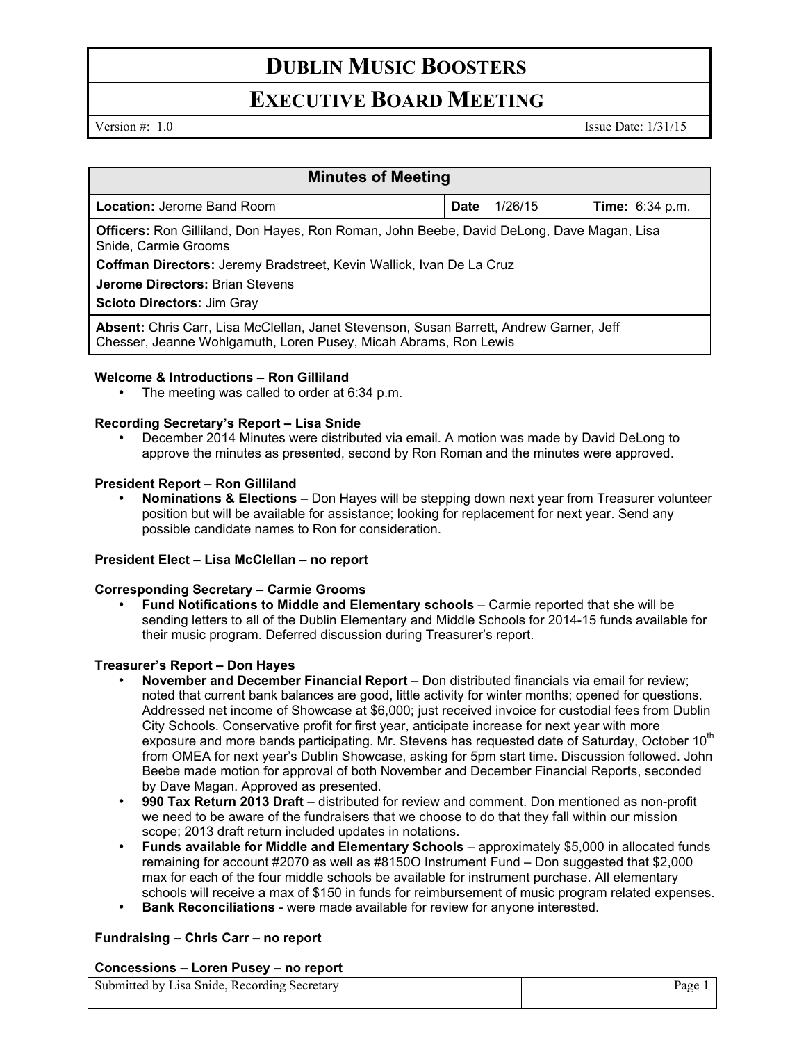# **DUBLIN MUSIC BOOSTERS**

### **EXECUTIVE BOARD MEETING**

Version  $\#$ : 1.0 Issue Date: 1/31/15

| <b>Minutes of Meeting</b>                                                                                                                                   |             |         |                        |
|-------------------------------------------------------------------------------------------------------------------------------------------------------------|-------------|---------|------------------------|
| <b>Location: Jerome Band Room</b>                                                                                                                           | <b>Date</b> | 1/26/15 | <b>Time:</b> 6:34 p.m. |
| <b>Officers:</b> Ron Gilliland, Don Hayes, Ron Roman, John Beebe, David DeLong, Dave Magan, Lisa<br>Snide, Carmie Grooms                                    |             |         |                        |
| Coffman Directors: Jeremy Bradstreet, Kevin Wallick, Ivan De La Cruz                                                                                        |             |         |                        |
| <b>Jerome Directors: Brian Stevens</b>                                                                                                                      |             |         |                        |
| <b>Scioto Directors: Jim Gray</b>                                                                                                                           |             |         |                        |
| Absent: Chris Carr, Lisa McClellan, Janet Stevenson, Susan Barrett, Andrew Garner, Jeff<br>Chesser, Jeanne Wohlgamuth, Loren Pusey, Micah Abrams, Ron Lewis |             |         |                        |

### **Welcome & Introductions – Ron Gilliland**

The meeting was called to order at 6:34 p.m.

#### **Recording Secretary's Report – Lisa Snide**

• December 2014 Minutes were distributed via email. A motion was made by David DeLong to approve the minutes as presented, second by Ron Roman and the minutes were approved.

#### **President Report – Ron Gilliland**

• **Nominations & Elections** – Don Hayes will be stepping down next year from Treasurer volunteer position but will be available for assistance; looking for replacement for next year. Send any possible candidate names to Ron for consideration.

#### **President Elect – Lisa McClellan – no report**

#### **Corresponding Secretary – Carmie Grooms**

• **Fund Notifications to Middle and Elementary schools** – Carmie reported that she will be sending letters to all of the Dublin Elementary and Middle Schools for 2014-15 funds available for their music program. Deferred discussion during Treasurer's report.

#### **Treasurer's Report – Don Hayes**

- **November and December Financial Report** Don distributed financials via email for review; noted that current bank balances are good, little activity for winter months; opened for questions. Addressed net income of Showcase at \$6,000; just received invoice for custodial fees from Dublin City Schools. Conservative profit for first year, anticipate increase for next year with more exposure and more bands participating. Mr. Stevens has requested date of Saturday, October 10<sup>th</sup> from OMEA for next year's Dublin Showcase, asking for 5pm start time. Discussion followed. John Beebe made motion for approval of both November and December Financial Reports, seconded by Dave Magan. Approved as presented.
- **990 Tax Return 2013 Draft**  distributed for review and comment. Don mentioned as non-profit we need to be aware of the fundraisers that we choose to do that they fall within our mission scope; 2013 draft return included updates in notations.
- **Funds available for Middle and Elementary Schools** approximately \$5,000 in allocated funds remaining for account #2070 as well as #8150O Instrument Fund – Don suggested that \$2,000 max for each of the four middle schools be available for instrument purchase. All elementary schools will receive a max of \$150 in funds for reimbursement of music program related expenses.
- **Bank Reconciliations**  were made available for review for anyone interested.

#### **Fundraising – Chris Carr – no report**

#### **Concessions – Loren Pusey – no report**